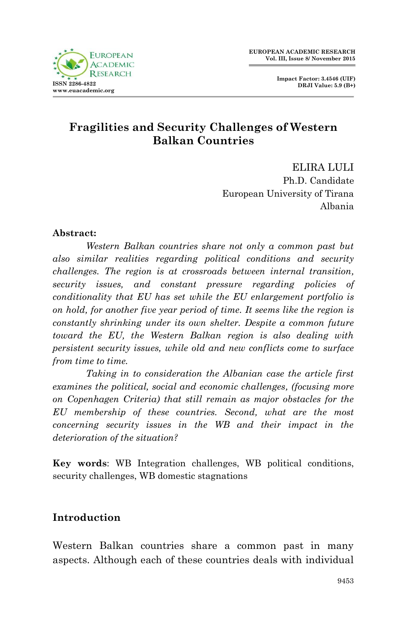

# **Fragilities and Security Challenges of Western Balkan Countries**

ELIRA LULI Ph.D. Candidate European University of Tirana Albania

#### **Abstract:**

*Western Balkan countries share not only a common past but also similar realities regarding political conditions and security challenges. The region is at crossroads between internal transition, security issues, and constant pressure regarding policies of conditionality that EU has set while the EU enlargement portfolio is on hold, for another five year period of time. It seems like the region is constantly shrinking under its own shelter. Despite a common future toward the EU, the Western Balkan region is also dealing with persistent security issues, while old and new conflicts come to surface from time to time.* 

*Taking in to consideration the Albanian case the article first examines the political, social and economic challenges, (focusing more on Copenhagen Criteria) that still remain as major obstacles for the EU membership of these countries. Second, what are the most concerning security issues in the WB and their impact in the deterioration of the situation?* 

**Key words**: WB Integration challenges, WB political conditions, security challenges, WB domestic stagnations

### **Introduction**

Western Balkan countries share a common past in many aspects. Although each of these countries deals with individual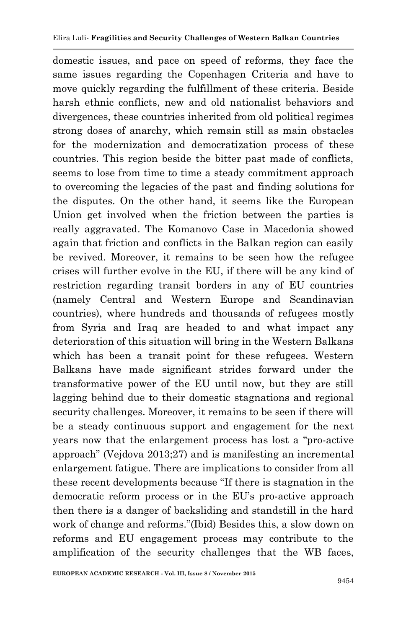domestic issues, and pace on speed of reforms, they face the same issues regarding the Copenhagen Criteria and have to move quickly regarding the fulfillment of these criteria. Beside harsh ethnic conflicts, new and old nationalist behaviors and divergences, these countries inherited from old political regimes strong doses of anarchy, which remain still as main obstacles for the modernization and democratization process of these countries. This region beside the bitter past made of conflicts, seems to lose from time to time a steady commitment approach to overcoming the legacies of the past and finding solutions for the disputes. On the other hand, it seems like the European Union get involved when the friction between the parties is really aggravated. The Komanovo Case in Macedonia showed again that friction and conflicts in the Balkan region can easily be revived. Moreover, it remains to be seen how the refugee crises will further evolve in the EU, if there will be any kind of restriction regarding transit borders in any of EU countries (namely Central and Western Europe and Scandinavian countries), where hundreds and thousands of refugees mostly from Syria and Iraq are headed to and what impact any deterioration of this situation will bring in the Western Balkans which has been a transit point for these refugees. Western Balkans have made significant strides forward under the transformative power of the EU until now, but they are still lagging behind due to their domestic stagnations and regional security challenges. Moreover, it remains to be seen if there will be a steady continuous support and engagement for the next years now that the enlargement process has lost a "pro-active approach" (Vejdova 2013;27) and is manifesting an incremental enlargement fatigue. There are implications to consider from all these recent developments because "If there is stagnation in the democratic reform process or in the EU's pro-active approach then there is a danger of backsliding and standstill in the hard work of change and reforms."(Ibid) Besides this, a slow down on reforms and EU engagement process may contribute to the amplification of the security challenges that the WB faces,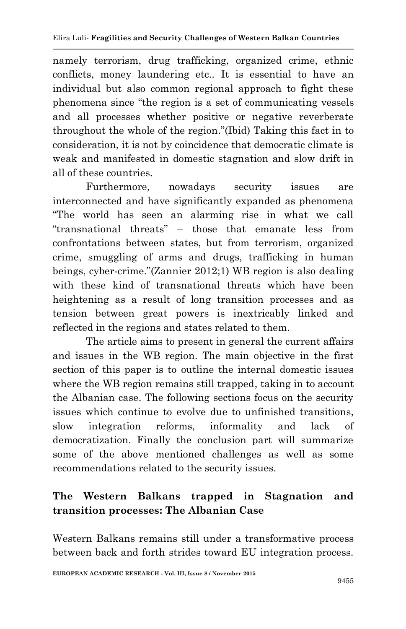namely terrorism, drug trafficking, organized crime, ethnic conflicts, money laundering etc.. It is essential to have an individual but also common regional approach to fight these phenomena since "the region is a set of communicating vessels and all processes whether positive or negative reverberate throughout the whole of the region."(Ibid) Taking this fact in to consideration, it is not by coincidence that democratic climate is weak and manifested in domestic stagnation and slow drift in all of these countries.

Furthermore, nowadays security issues are interconnected and have significantly expanded as phenomena "The world has seen an alarming rise in what we call "transnational threats" – those that emanate less from confrontations between states, but from terrorism, organized crime, smuggling of arms and drugs, trafficking in human beings, cyber-crime."(Zannier 2012;1) WB region is also dealing with these kind of transnational threats which have been heightening as a result of long transition processes and as tension between great powers is inextricably linked and reflected in the regions and states related to them.

The article aims to present in general the current affairs and issues in the WB region. The main objective in the first section of this paper is to outline the internal domestic issues where the WB region remains still trapped, taking in to account the Albanian case. The following sections focus on the security issues which continue to evolve due to unfinished transitions, slow integration reforms, informality and lack of democratization. Finally the conclusion part will summarize some of the above mentioned challenges as well as some recommendations related to the security issues.

# **The Western Balkans trapped in Stagnation and transition processes: The Albanian Case**

Western Balkans remains still under a transformative process between back and forth strides toward EU integration process.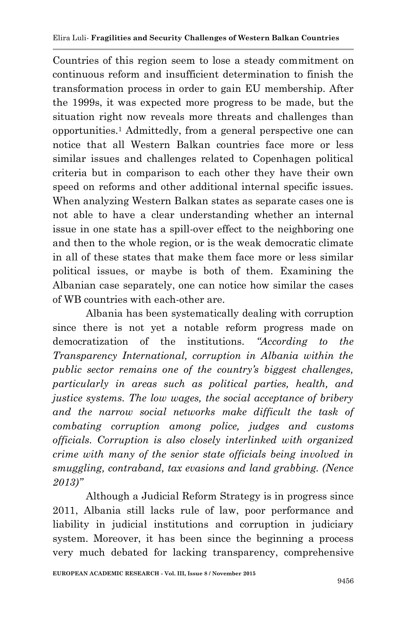Countries of this region seem to lose a steady commitment on continuous reform and insufficient determination to finish the transformation process in order to gain EU membership. After the 1999s, it was expected more progress to be made, but the situation right now reveals more threats and challenges than opportunities.<sup>1</sup> Admittedly, from a general perspective one can notice that all Western Balkan countries face more or less similar issues and challenges related to Copenhagen political criteria but in comparison to each other they have their own speed on reforms and other additional internal specific issues. When analyzing Western Balkan states as separate cases one is not able to have a clear understanding whether an internal issue in one state has a spill-over effect to the neighboring one and then to the whole region, or is the weak democratic climate in all of these states that make them face more or less similar political issues, or maybe is both of them. Examining the Albanian case separately, one can notice how similar the cases of WB countries with each-other are.

Albania has been systematically dealing with corruption since there is not yet a notable reform progress made on democratization of the institutions. *"According to the Transparency International, corruption in Albania within the public sector remains one of the country's biggest challenges, particularly in areas such as political parties, health, and justice systems. The low wages, the social acceptance of bribery and the narrow social networks make difficult the task of combating corruption among police, judges and customs officials. Corruption is also closely interlinked with organized crime with many of the senior state officials being involved in smuggling, contraband, tax evasions and land grabbing. (Nence 2013)"*

Although a Judicial Reform Strategy is in progress since 2011, Albania still lacks rule of law, poor performance and liability in judicial institutions and corruption in judiciary system. Moreover, it has been since the beginning a process very much debated for lacking transparency, comprehensive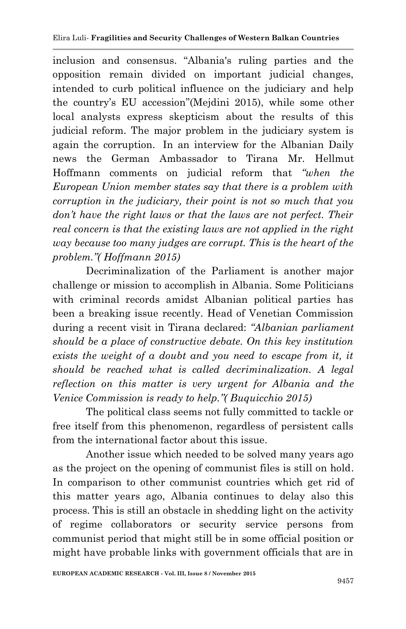inclusion and consensus. "Albania's ruling parties and the opposition remain divided on important judicial changes, intended to curb political influence on the judiciary and help the country's EU accession"(Mejdini 2015), while some other local analysts express skepticism about the results of this judicial reform. The major problem in the judiciary system is again the corruption. In an interview for the Albanian Daily news the German Ambassador to Tirana Mr. Hellmut Hoffmann comments on judicial reform that *"when the European Union member states say that there is a problem with corruption in the judiciary, their point is not so much that you don't have the right laws or that the laws are not perfect. Their real concern is that the existing laws are not applied in the right way because too many judges are corrupt. This is the heart of the problem."( Hoffmann 2015)*

Decriminalization of the Parliament is another major challenge or mission to accomplish in Albania. Some Politicians with criminal records amidst Albanian political parties has been a breaking issue recently. Head of Venetian Commission during a recent visit in Tirana declared: *"Albanian parliament should be a place of constructive debate. On this key institution exists the weight of a doubt and you need to escape from it, it should be reached what is called decriminalization. A legal reflection on this matter is very urgent for Albania and the Venice Commission is ready to help."( Buquicchio 2015)*

The political class seems not fully committed to tackle or free itself from this phenomenon, regardless of persistent calls from the international factor about this issue.

Another issue which needed to be solved many years ago as the project on the opening of communist files is still on hold. In comparison to other communist countries which get rid of this matter years ago, Albania continues to delay also this process. This is still an obstacle in shedding light on the activity of regime collaborators or security service persons from communist period that might still be in some official position or might have probable links with government officials that are in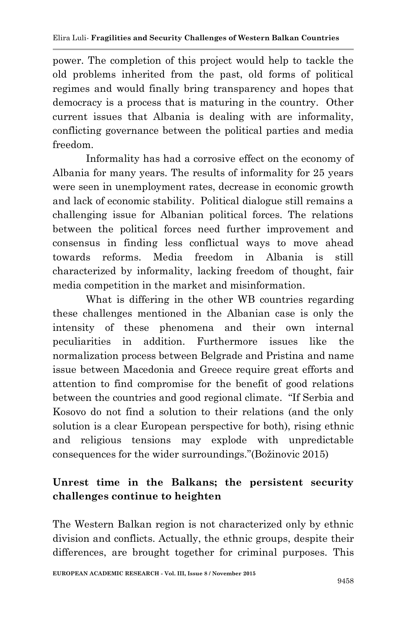power. The completion of this project would help to tackle the old problems inherited from the past, old forms of political regimes and would finally bring transparency and hopes that democracy is a process that is maturing in the country. Other current issues that Albania is dealing with are informality, conflicting governance between the political parties and media freedom.

Informality has had a corrosive effect on the economy of Albania for many years. The results of informality for 25 years were seen in unemployment rates, decrease in economic growth and lack of economic stability. Political dialogue still remains a challenging issue for Albanian political forces. The relations between the political forces need further improvement and consensus in finding less conflictual ways to move ahead towards reforms. Media freedom in Albania is still characterized by informality, lacking freedom of thought, fair media competition in the market and misinformation.

What is differing in the other WB countries regarding these challenges mentioned in the Albanian case is only the intensity of these phenomena and their own internal peculiarities in addition. Furthermore issues like the normalization process between Belgrade and Pristina and name issue between Macedonia and Greece require great efforts and attention to find compromise for the benefit of good relations between the countries and good regional climate. "If Serbia and Kosovo do not find a solution to their relations (and the only solution is a clear European perspective for both), rising ethnic and religious tensions may explode with unpredictable consequences for the wider surroundings."(Božinovic 2015)

# **Unrest time in the Balkans; the persistent security challenges continue to heighten**

The Western Balkan region is not characterized only by ethnic division and conflicts. Actually, the ethnic groups, despite their differences, are brought together for criminal purposes. This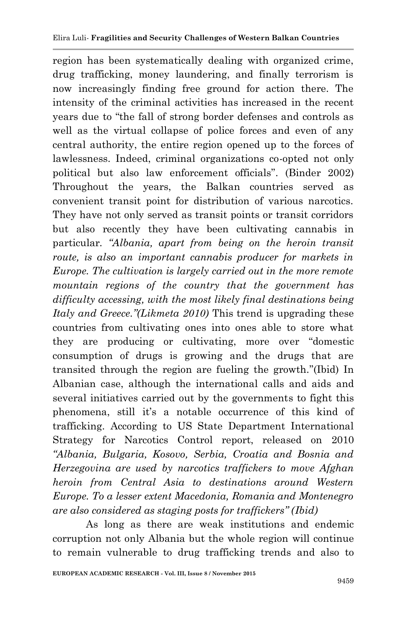region has been systematically dealing with organized crime, drug trafficking, money laundering, and finally terrorism is now increasingly finding free ground for action there. The intensity of the criminal activities has increased in the recent years due to "the fall of strong border defenses and controls as well as the virtual collapse of police forces and even of any central authority, the entire region opened up to the forces of lawlessness. Indeed, criminal organizations co-opted not only political but also law enforcement officials". (Binder 2002) Throughout the years, the Balkan countries served as convenient transit point for distribution of various narcotics. They have not only served as transit points or transit corridors but also recently they have been cultivating cannabis in particular*. "Albania, apart from being on the heroin transit route, is also an important cannabis producer for markets in Europe. The cultivation is largely carried out in the more remote mountain regions of the country that the government has difficulty accessing, with the most likely final destinations being Italy and Greece."(Likmeta 2010)* This trend is upgrading these countries from cultivating ones into ones able to store what they are producing or cultivating, more over "domestic consumption of drugs is growing and the drugs that are transited through the region are fueling the growth."(Ibid) In Albanian case, although the international calls and aids and several initiatives carried out by the governments to fight this phenomena, still it's a notable occurrence of this kind of trafficking. According to US State Department International Strategy for Narcotics Control report, released on 2010 *"Albania, Bulgaria, Kosovo, Serbia, Croatia and Bosnia and Herzegovina are used by narcotics traffickers to move Afghan heroin from Central Asia to destinations around Western Europe. To a lesser extent Macedonia, Romania and Montenegro are also considered as staging posts for traffickers" (Ibid)*

As long as there are weak institutions and endemic corruption not only Albania but the whole region will continue to remain vulnerable to drug trafficking trends and also to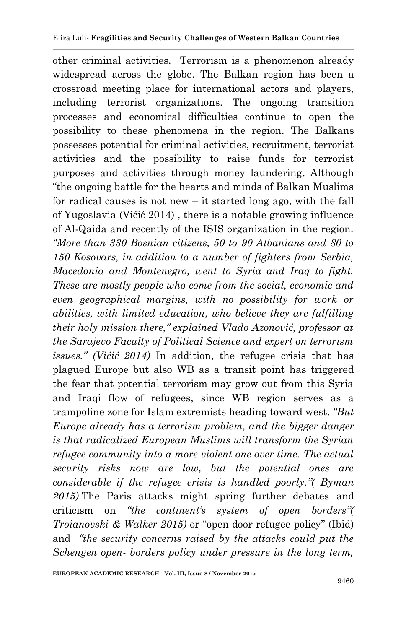other criminal activities. Terrorism is a phenomenon already widespread across the globe. The Balkan region has been a crossroad meeting place for international actors and players, including terrorist organizations. The ongoing transition processes and economical difficulties continue to open the possibility to these phenomena in the region. The Balkans possesses potential for criminal activities, recruitment, terrorist activities and the possibility to raise funds for terrorist purposes and activities through money laundering. Although "the ongoing battle for the hearts and minds of Balkan Muslims for radical causes is not new – it started long ago, with the fall of Yugoslavia (Vićić 2014) , there is a notable growing influence of Al-Qaida and recently of the ISIS organization in the region. *"More than 330 Bosnian citizens, 50 to 90 Albanians and 80 to 150 Kosovars, in addition to a number of fighters from Serbia, Macedonia and Montenegro, went to Syria and Iraq to fight. These are mostly people who come from the social, economic and even geographical margins, with no possibility for work or abilities, with limited education, who believe they are fulfilling their holy mission there," explained Vlado Azonović, professor at the Sarajevo Faculty of Political Science and expert on terrorism issues." (Vićić 2014)* In addition, the refugee crisis that has plagued Europe but also WB as a transit point has triggered the fear that potential terrorism may grow out from this Syria and Iraqi flow of refugees, since WB region serves as a trampoline zone for Islam extremists heading toward west. *"But Europe already has a terrorism problem, and the bigger danger is that radicalized European Muslims will transform the Syrian refugee community into a more violent one over time. The actual security risks now are low, but the potential ones are considerable if the refugee crisis is handled poorly."( Byman 2015)* The Paris attacks might spring further debates and criticism on *"the continent's system of open borders"( Troianovski & Walker 2015)* or "open door refugee policy" (Ibid) and *"the security concerns raised by the attacks could put the Schengen open- borders policy under pressure in the long term,*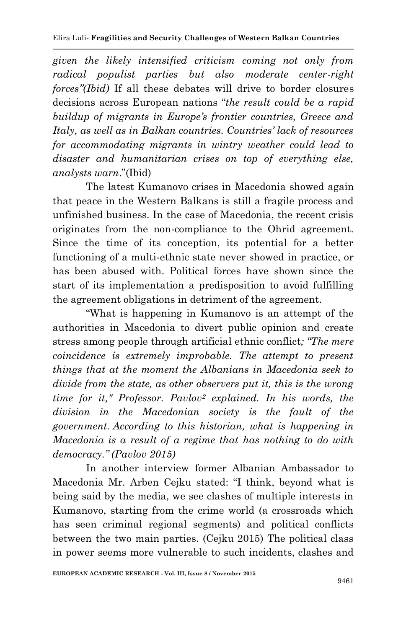*given the likely intensified criticism coming not only from radical populist parties but also moderate center-right forces"(Ibid)* If all these debates will drive to border closures decisions across European nations "*the result could be a rapid buildup of migrants in Europe's frontier countries, Greece and Italy, as well as in Balkan countries. Countries' lack of resources for accommodating migrants in wintry weather could lead to disaster and humanitarian crises on top of everything else, analysts warn*."(Ibid)

The latest Kumanovo crises in Macedonia showed again that peace in the Western Balkans is still a fragile process and unfinished business. In the case of Macedonia, the recent crisis originates from the non-compliance to the Ohrid agreement. Since the time of its conception, its potential for a better functioning of a multi-ethnic state never showed in practice, or has been abused with. Political forces have shown since the start of its implementation a predisposition to avoid fulfilling the agreement obligations in detriment of the agreement.

"What is happening in Kumanovo is an attempt of the authorities in Macedonia to divert public opinion and create stress among people through artificial ethnic conflict*; "The mere coincidence is extremely improbable. The attempt to present things that at the moment the Albanians in Macedonia seek to divide from the state, as other observers put it, this is the wrong time for it," Professor. Pavlov<sup>2</sup> explained. In his words, the division in the Macedonian society is the fault of the government. According to this historian, what is happening in Macedonia is a result of a regime that has nothing to do with democracy." (Pavlov 2015)*

In another interview former Albanian Ambassador to Macedonia Mr. Arben Cejku stated: "I think, beyond what is being said by the media, we see clashes of multiple interests in Kumanovo, starting from the crime world (a crossroads which has seen criminal regional segments) and political conflicts between the two main parties. (Cejku 2015) The political class in power seems more vulnerable to such incidents, clashes and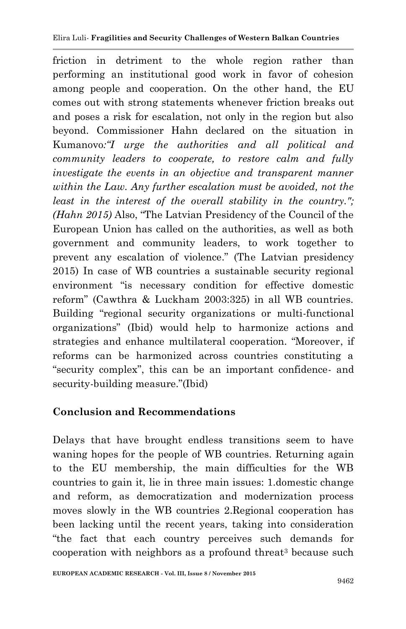friction in detriment to the whole region rather than performing an institutional good work in favor of cohesion among people and cooperation. On the other hand, the EU comes out with strong statements whenever friction breaks out and poses a risk for escalation, not only in the region but also beyond. Commissioner Hahn declared on the situation in Kumanovo*:"I urge the authorities and all political and community leaders to cooperate, to restore calm and fully investigate the events in an objective and transparent manner within the Law. Any further escalation must be avoided, not the least in the interest of the overall stability in the country.": (Hahn 2015)* Also, "The Latvian Presidency of the Council of the European Union has called on the authorities, as well as both government and community leaders, to work together to prevent any escalation of violence." (The Latvian presidency 2015) In case of WB countries a sustainable security regional environment "is necessary condition for effective domestic reform" (Cawthra & Luckham 2003:325) in all WB countries. Building "regional security organizations or multi-functional organizations" (Ibid) would help to harmonize actions and strategies and enhance multilateral cooperation. "Moreover, if reforms can be harmonized across countries constituting a "security complex", this can be an important confidence- and security-building measure."(Ibid)

# **Conclusion and Recommendations**

Delays that have brought endless transitions seem to have waning hopes for the people of WB countries. Returning again to the EU membership, the main difficulties for the WB countries to gain it, lie in three main issues: 1.domestic change and reform, as democratization and modernization process moves slowly in the WB countries 2.Regional cooperation has been lacking until the recent years, taking into consideration "the fact that each country perceives such demands for cooperation with neighbors as a profound threat<sup>3</sup> because such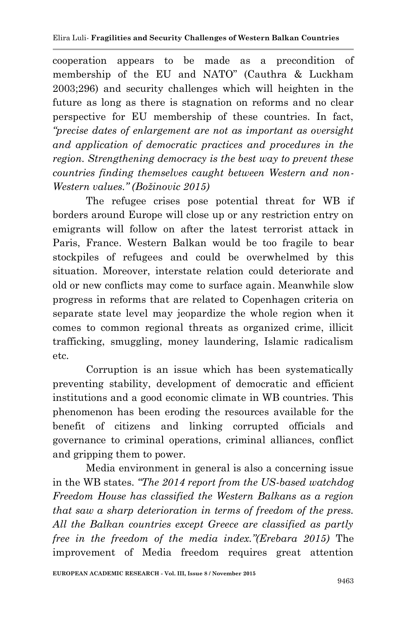cooperation appears to be made as a precondition of membership of the EU and NATO" (Cauthra & Luckham 2003;296) and security challenges which will heighten in the future as long as there is stagnation on reforms and no clear perspective for EU membership of these countries. In fact, *"precise dates of enlargement are not as important as oversight and application of democratic practices and procedures in the region. Strengthening democracy is the best way to prevent these countries finding themselves caught between Western and non-Western values." (Božinovic 2015)*

The refugee crises pose potential threat for WB if borders around Europe will close up or any restriction entry on emigrants will follow on after the latest terrorist attack in Paris, France. Western Balkan would be too fragile to bear stockpiles of refugees and could be overwhelmed by this situation. Moreover, interstate relation could deteriorate and old or new conflicts may come to surface again. Meanwhile slow progress in reforms that are related to Copenhagen criteria on separate state level may jeopardize the whole region when it comes to common regional threats as organized crime, illicit trafficking, smuggling, money laundering, Islamic radicalism etc.

Corruption is an issue which has been systematically preventing stability, development of democratic and efficient institutions and a good economic climate in WB countries. This phenomenon has been eroding the resources available for the benefit of citizens and linking corrupted officials and governance to criminal operations, criminal alliances, conflict and gripping them to power.

Media environment in general is also a concerning issue in the WB states. *"The 2014 report from the US-based watchdog Freedom House has classified the Western Balkans as a region that saw a sharp deterioration in terms of freedom of the press. All the Balkan countries except Greece are classified as partly free in the freedom of the media index."(Erebara 2015)* The improvement of Media freedom requires great attention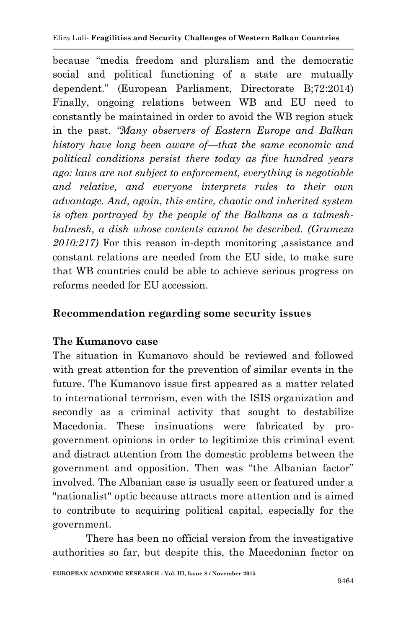because "media freedom and pluralism and the democratic social and political functioning of a state are mutually dependent." (European Parliament, Directorate B;72:2014) Finally, ongoing relations between WB and EU need to constantly be maintained in order to avoid the WB region stuck in the past. *"Many observers of Eastern Europe and Balkan history have long been aware of—that the same economic and political conditions persist there today as five hundred years ago: laws are not subject to enforcement, everything is negotiable and relative, and everyone interprets rules to their own advantage. And, again, this entire, chaotic and inherited system is often portrayed by the people of the Balkans as a talmeshbalmesh, a dish whose contents cannot be described. (Grumeza 2010:217)* For this reason in-depth monitoring ,assistance and constant relations are needed from the EU side, to make sure that WB countries could be able to achieve serious progress on reforms needed for EU accession.

## **Recommendation regarding some security issues**

### **The Kumanovo case**

The situation in Kumanovo should be reviewed and followed with great attention for the prevention of similar events in the future. The Kumanovo issue first appeared as a matter related to international terrorism, even with the ISIS organization and secondly as a criminal activity that sought to destabilize Macedonia. These insinuations were fabricated by progovernment opinions in order to legitimize this criminal event and distract attention from the domestic problems between the government and opposition. Then was "the Albanian factor" involved. The Albanian case is usually seen or featured under a "nationalist" optic because attracts more attention and is aimed to contribute to acquiring political capital, especially for the government.

There has been no official version from the investigative authorities so far, but despite this, the Macedonian factor on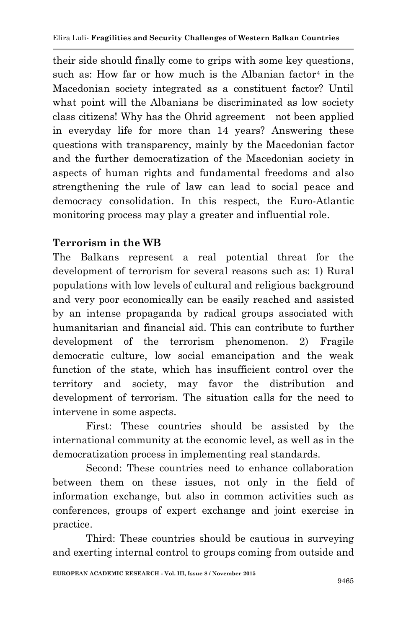their side should finally come to grips with some key questions, such as: How far or how much is the Albanian factor<sup>4</sup> in the Macedonian society integrated as a constituent factor? Until what point will the Albanians be discriminated as low society class citizens! Why has the Ohrid agreement not been applied in everyday life for more than 14 years? Answering these questions with transparency, mainly by the Macedonian factor and the further democratization of the Macedonian society in aspects of human rights and fundamental freedoms and also strengthening the rule of law can lead to social peace and democracy consolidation. In this respect, the Euro-Atlantic monitoring process may play a greater and influential role.

## **Terrorism in the WB**

The Balkans represent a real potential threat for the development of terrorism for several reasons such as: 1) Rural populations with low levels of cultural and religious background and very poor economically can be easily reached and assisted by an intense propaganda by radical groups associated with humanitarian and financial aid. This can contribute to further development of the terrorism phenomenon. 2) Fragile democratic culture, low social emancipation and the weak function of the state, which has insufficient control over the territory and society, may favor the distribution and development of terrorism. The situation calls for the need to intervene in some aspects.

First: These countries should be assisted by the international community at the economic level, as well as in the democratization process in implementing real standards.

Second: These countries need to enhance collaboration between them on these issues, not only in the field of information exchange, but also in common activities such as conferences, groups of expert exchange and joint exercise in practice.

Third: These countries should be cautious in surveying and exerting internal control to groups coming from outside and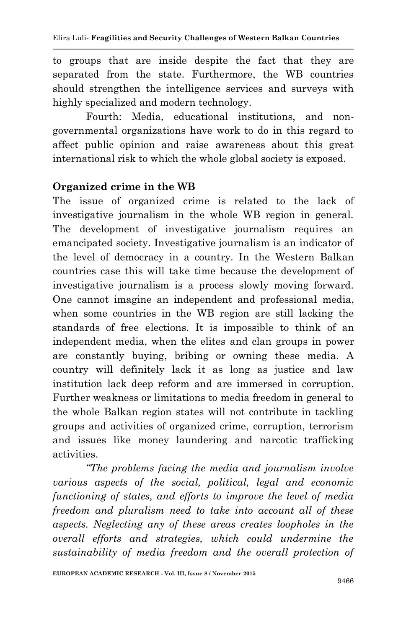to groups that are inside despite the fact that they are separated from the state. Furthermore, the WB countries should strengthen the intelligence services and surveys with highly specialized and modern technology.

Fourth: Media, educational institutions, and nongovernmental organizations have work to do in this regard to affect public opinion and raise awareness about this great international risk to which the whole global society is exposed.

## **Organized crime in the WB**

The issue of organized crime is related to the lack of investigative journalism in the whole WB region in general. The development of investigative journalism requires an emancipated society. Investigative journalism is an indicator of the level of democracy in a country. In the Western Balkan countries case this will take time because the development of investigative journalism is a process slowly moving forward. One cannot imagine an independent and professional media, when some countries in the WB region are still lacking the standards of free elections. It is impossible to think of an independent media, when the elites and clan groups in power are constantly buying, bribing or owning these media. A country will definitely lack it as long as justice and law institution lack deep reform and are immersed in corruption. Further weakness or limitations to media freedom in general to the whole Balkan region states will not contribute in tackling groups and activities of organized crime, corruption, terrorism and issues like money laundering and narcotic trafficking activities.

*"The problems facing the media and journalism involve various aspects of the social, political, legal and economic functioning of states, and efforts to improve the level of media freedom and pluralism need to take into account all of these aspects. Neglecting any of these areas creates loopholes in the overall efforts and strategies, which could undermine the sustainability of media freedom and the overall protection of*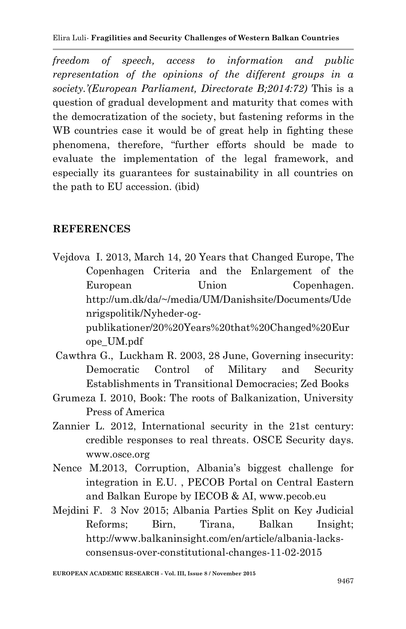*freedom of speech, access to information and public representation of the opinions of the different groups in a society.'(European Parliament, Directorate B;2014:72)* This is a question of gradual development and maturity that comes with the democratization of the society, but fastening reforms in the WB countries case it would be of great help in fighting these phenomena, therefore, "further efforts should be made to evaluate the implementation of the legal framework, and especially its guarantees for sustainability in all countries on the path to EU accession. (ibid)

### **REFERENCES**

Vejdova I. 2013, March 14, 20 Years that Changed Europe, The Copenhagen Criteria and the Enlargement of the European Union Copenhagen. http://um.dk/da/~/media/UM/Danishsite/Documents/Ude nrigspolitik/Nyheder-ogpublikationer/20%20Years%20that%20Changed%20Eur

ope\_UM.pdf [Cawthra](https://www.google.al/search?tbo=p&tbm=bks&q=inauthor:%22Gavin+Cawthra%22) G., [Luckham](https://www.google.al/search?tbo=p&tbm=bks&q=inauthor:%22Robin+Luckham%22) R. 2003, 28 June, Governing insecurity: Democratic Control of Military and Security

- Establishments in Transitional Democracies; Zed Books
- Grumeza I. 2010, Book: The roots of Balkanization, University Press of America
- Zannier L. 2012, International security in the 21st century: credible responses to real threats. OSCE Security days. [www.osce.org](http://www.osce.org/)
- Nence M.2013, Corruption, Albania's biggest challenge for integration in E.U. , PECOB Portal on Central Eastern and Balkan Europe by IECOB & AI, [www.pecob.eu](http://www.pecob.eu/)
- Mejdini F. 3 Nov 2015; Albania Parties Split on Key Judicial Reforms; Birn, Tirana, Balkan Insight; http://www.balkaninsight.com/en/article/albania-lacksconsensus-over-constitutional-changes-11-02-2015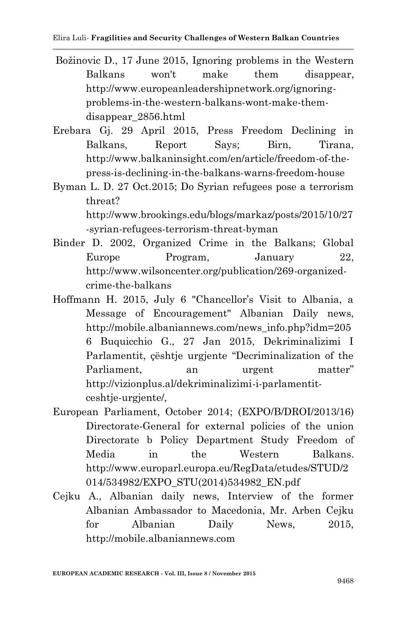- [Božinovic](http://www.europeanleadershipnetwork.org/davor-boinovic_643.html) D., 17 June 2015, Ignoring problems in the Western Balkans won't make them disappear, [http://www.europeanleadershipnetwork.org/ignoring](http://www.europeanleadershipnetwork.org/ignoring-problems-in-the-western-balkans-wont-make-them-disappear_2856.html)[problems-in-the-western-balkans-wont-make-them](http://www.europeanleadershipnetwork.org/ignoring-problems-in-the-western-balkans-wont-make-them-disappear_2856.html)[disappear\\_2856.html](http://www.europeanleadershipnetwork.org/ignoring-problems-in-the-western-balkans-wont-make-them-disappear_2856.html)
- Erebara Gj. 29 April 2015, Press Freedom Declining in Balkans, Report Says; Birn, Tirana, http://www.balkaninsight.com/en/article/freedom-of-thepress-is-declining-in-the-balkans-warns-freedom-house
- Byman L. D. 27 Oct.2015; Do Syrian refugees pose a terrorism threat?

http://www.brookings.edu/blogs/markaz/posts/2015/10/27 -syrian-refugees-terrorism-threat-byman

- Binder D. 2002, Organized Crime in the Balkans; Global Europe Program, January 22, [http://www.wilsoncenter.org/publication/269-organized](http://www.wilsoncenter.org/publication/269-organized-crime-the-balkans)[crime-the-balkans](http://www.wilsoncenter.org/publication/269-organized-crime-the-balkans)
- Hoffmann H. 2015, July 6 "Chancellor's Visit to Albania, a Message of Encouragement" Albanian Daily news, http://mobile.albaniannews.com/news\_info.php?idm=205 6 Buquicchio G., 27 Jan 2015, Dekriminalizimi I Parlamentit, çështje urgjente "Decriminalization of the Parliament, an urgent matter" http://vizionplus.al/dekriminalizimi-i-parlamentitceshtje-urgjente/,
- European Parliament, October 2014; (EXPO/B/DROI/2013/16) Directorate-General for external policies of the union Directorate b Policy Department Study Freedom of Media in the Western Balkans. http://www.europarl.europa.eu/RegData/etudes/STUD/2 014/534982/EXPO\_STU(2014)534982\_EN.pdf
- Cejku A., Albanian daily news, Interview of the former Albanian Ambassador to Macedonia, Mr. Arben Cejku for Albanian Daily News, 2015, [http://mobile.albaniannews.com](http://mobile.albaniannews.com/)